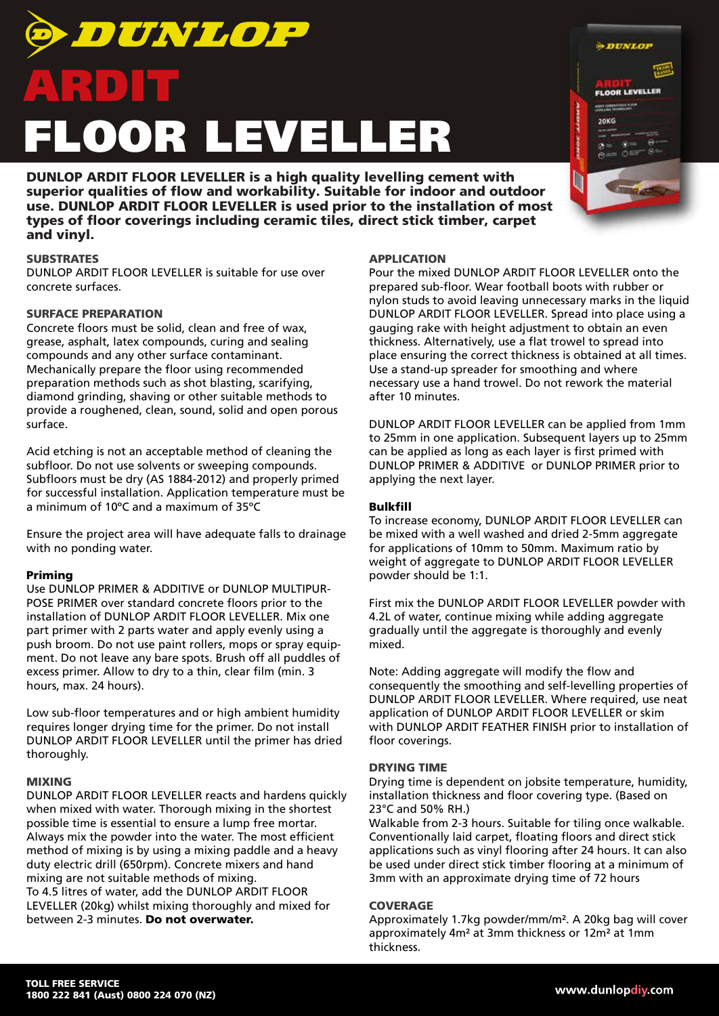

DUNLOP ARDIT FLOOR LEVELLER is a high quality levelling cement with superior qualities of flow and workability. Suitable for indoor and outdoor use. DUNLOP ARDIT FLOOR LEVELLER is used prior to the installation of most types of floor coverings including ceramic tiles, direct stick timber, carpet and vinyl.

# **SUBSTRATES**

DUNLOP ARDIT FLOOR LEVELLER is suitable for use over concrete surfaces.

## SURFACE PREPARATION

Concrete floors must be solid, clean and free of wax, grease, asphalt, latex compounds, curing and sealing compounds and any other surface contaminant. Mechanically prepare the floor using recommended preparation methods such as shot blasting, scarifying, diamond grinding, shaving or other suitable methods to provide a roughened, clean, sound, solid and open porous surface.

Acid etching is not an acceptable method of cleaning the subfloor. Do not use solvents or sweeping compounds. Subfloors must be dry (AS 1884-2012) and properly primed for successful installation. Application temperature must be a minimum of 10ºC and a maximum of 35ºC

Ensure the project area will have adequate falls to drainage with no ponding water.

### Priming

Use DUNLOP PRIMER & ADDITIVE or DUNLOP MULTIPUR-POSE PRIMER over standard concrete floors prior to the installation of DUNLOP ARDIT FLOOR LEVELLER. Mix one part primer with 2 parts water and apply evenly using a push broom. Do not use paint rollers, mops or spray equipment. Do not leave any bare spots. Brush off all puddles of excess primer. Allow to dry to a thin, clear film (min. 3 hours, max. 24 hours).

Low sub-floor temperatures and or high ambient humidity requires longer drying time for the primer. Do not install DUNLOP ARDIT FLOOR LEVELLER until the primer has dried thoroughly.

### MIXING

DUNLOP ARDIT FLOOR LEVELLER reacts and hardens quickly when mixed with water. Thorough mixing in the shortest possible time is essential to ensure a lump free mortar. Always mix the powder into the water. The most efficient method of mixing is by using a mixing paddle and a heavy duty electric drill (650rpm). Concrete mixers and hand mixing are not suitable methods of mixing. To 4.5 litres of water, add the DUNLOP ARDIT FLOOR LEVELLER (20kg) whilst mixing thoroughly and mixed for between 2-3 minutes. Do not overwater.

# APPLICATION

Pour the mixed DUNLOP ARDIT FLOOR LEVELLER onto the prepared sub-floor. Wear football boots with rubber or nylon studs to avoid leaving unnecessary marks in the liquid DUNLOP ARDIT FLOOR LEVELLER. Spread into place using a gauging rake with height adjustment to obtain an even thickness. Alternatively, use a flat trowel to spread into place ensuring the correct thickness is obtained at all times. Use a stand-up spreader for smoothing and where necessary use a hand trowel. Do not rework the material after 10 minutes.

**ADUNLOP** 

**FLOOR LEVELLER** 

**20KG** 

DUNLOP ARDIT FLOOR LEVELLER can be applied from 1mm to 25mm in one application. Subsequent layers up to 25mm can be applied as long as each layer is first primed with DUNLOP PRIMER & ADDITIVE or DUNLOP PRIMER prior to applying the next layer.

### Bulkfill

To increase economy, DUNLOP ARDIT FLOOR LEVELLER can be mixed with a well washed and dried 2-5mm aggregate for applications of 10mm to 50mm. Maximum ratio by weight of aggregate to DUNLOP ARDIT FLOOR LEVELLER powder should be 1:1.

First mix the DUNLOP ARDIT FLOOR LEVELLER powder with 4.2L of water, continue mixing while adding aggregate gradually until the aggregate is thoroughly and evenly mixed.

Note: Adding aggregate will modify the flow and consequently the smoothing and self-levelling properties of DUNLOP ARDIT FLOOR LEVELLER. Where required, use neat application of DUNLOP ARDIT FLOOR LEVELLER or skim with DUNLOP ARDIT FEATHER FINISH prior to installation of floor coverings.

# DRYING TIME

Drying time is dependent on jobsite temperature, humidity, installation thickness and floor covering type. (Based on 23°C and 50% RH.)

Walkable from 2-3 hours. Suitable for tiling once walkable. Conventionally laid carpet, floating floors and direct stick applications such as vinyl flooring after 24 hours. It can also be used under direct stick timber flooring at a minimum of 3mm with an approximate drying time of 72 hours

### **COVERAGE**

Approximately 1.7kg powder/mm/m². A 20kg bag will cover approximately 4m² at 3mm thickness or 12m² at 1mm thickness.